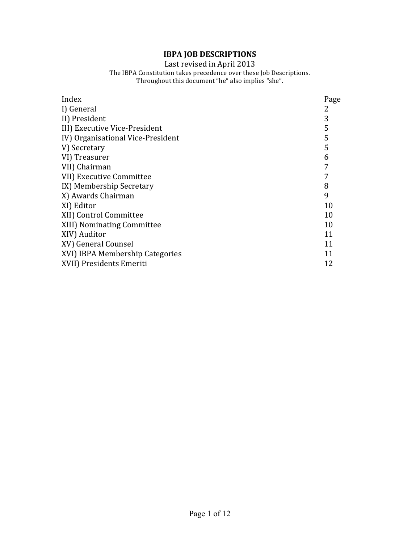# **IBPA JOB DESCRIPTIONS**

Last revised in April 2013

#### The IBPA Constitution takes precedence over these Job Descriptions. Throughout this document "he" also implies "she".

| Index                             | Page |
|-----------------------------------|------|
| I) General                        | 2    |
| II) President                     | 3    |
| III) Executive Vice-President     | 5    |
| IV) Organisational Vice-President | 5    |
| V) Secretary                      | 5    |
| VI) Treasurer                     | 6    |
| VII) Chairman                     | 7    |
| VII) Executive Committee          | 7    |
| IX) Membership Secretary          | 8    |
| X) Awards Chairman                | 9    |
| XI) Editor                        | 10   |
| XII) Control Committee            | 10   |
| <b>XIII) Nominating Committee</b> | 10   |
| XIV) Auditor                      | 11   |
| XV) General Counsel               | 11   |
| XVI) IBPA Membership Categories   | 11   |
| XVII) Presidents Emeriti          | 12   |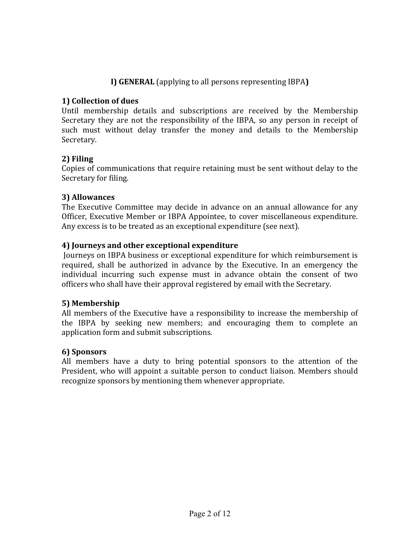## **I) GENERAL** (applying to all persons representing IBPA)

### **1) Collection of dues**

Until membership details and subscriptions are received by the Membership Secretary they are not the responsibility of the IBPA, so any person in receipt of such must without delay transfer the money and details to the Membership Secretary.

### **2)%Filing**

Copies of communications that require retaining must be sent without delay to the Secretary for filing.

### **3) Allowances**

The Executive Committee may decide in advance on an annual allowance for any Officer, Executive Member or IBPA Appointee, to cover miscellaneous expenditure. Any excess is to be treated as an exceptional expenditure (see next).

### **4)%Journeys%and%other%exceptional%expenditure**

Journeys on IBPA business or exceptional expenditure for which reimbursement is required, shall be authorized in advance by the Executive. In an emergency the individual incurring such expense must in advance obtain the consent of two officers who shall have their approval registered by email with the Secretary.

### **5)%Membership**

All members of the Executive have a responsibility to increase the membership of the IBPA by seeking new members; and encouraging them to complete an application form and submit subscriptions.

### **6)%Sponsors**

All members have a duty to bring potential sponsors to the attention of the President, who will appoint a suitable person to conduct liaison. Members should recognize sponsors by mentioning them whenever appropriate.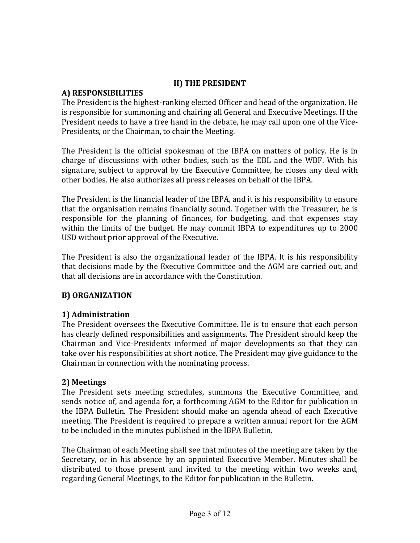### **II) THE PRESIDENT**

## A) RESPONSIBILITIES

The President is the highest-ranking elected Officer and head of the organization. He is responsible for summoning and chairing all General and Executive Meetings. If the President needs to have a free hand in the debate, he may call upon one of the Vice-Presidents, or the Chairman, to chair the Meeting.

The President is the official spokesman of the IBPA on matters of policy. He is in charge of discussions with other bodies, such as the EBL and the WBF. With his signature, subject to approval by the Executive Committee, he closes any deal with other bodies. He also authorizes all press releases on behalf of the IBPA.

The President is the financial leader of the IBPA, and it is his responsibility to ensure that the organisation remains financially sound. Together with the Treasurer, he is responsible for the planning of finances, for budgeting, and that expenses stay within the limits of the budget. He may commit IBPA to expenditures up to 2000 USD without prior approval of the Executive.

The President is also the organizational leader of the IBPA. It is his responsibility that decisions made by the Executive Committee and the AGM are carried out, and that all decisions are in accordance with the Constitution.

### **B) ORGANIZATION**

### 1) Administration

The President oversees the Executive Committee. He is to ensure that each person has clearly defined responsibilities and assignments. The President should keep the Chairman and Vice-Presidents informed of major developments so that they can take over his responsibilities at short notice. The President may give guidance to the Chairman in connection with the nominating process.

### 2) Meetings

The President sets meeting schedules, summons the Executive Committee, and sends notice of, and agenda for, a forthcoming AGM to the Editor for publication in the IBPA Bulletin. The President should make an agenda ahead of each Executive meeting. The President is required to prepare a written annual report for the AGM to be included in the minutes published in the IBPA Bulletin.

The Chairman of each Meeting shall see that minutes of the meeting are taken by the Secretary, or in his absence by an appointed Executive Member. Minutes shall be distributed to those present and invited to the meeting within two weeks and, regarding General Meetings, to the Editor for publication in the Bulletin.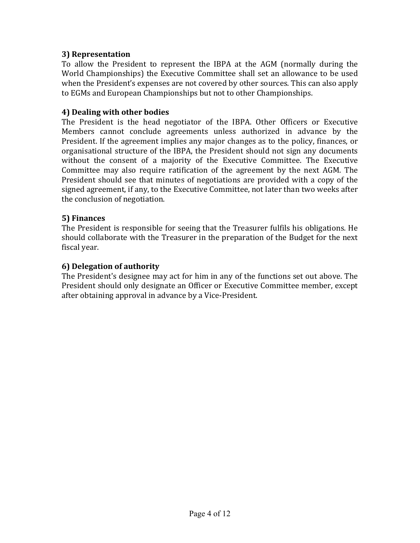### **3)%Representation**

To allow the President to represent the IBPA at the AGM (normally during the World Championships) the Executive Committee shall set an allowance to be used when the President's expenses are not covered by other sources. This can also apply to EGMs and European Championships but not to other Championships.

#### **4) Dealing with other bodies**

The President is the head negotiator of the IBPA. Other Officers or Executive Members cannot conclude agreements unless authorized in advance by the President. If the agreement implies any major changes as to the policy, finances, or organisational structure of the IBPA, the President should not sign any documents without the consent of a majority of the Executive Committee. The Executive Committee may also require ratification of the agreement by the next AGM. The President should see that minutes of negotiations are provided with a copy of the signed agreement, if any, to the Executive Committee, not later than two weeks after the conclusion of negotiation.

### **5)%Finances**

The President is responsible for seeing that the Treasurer fulfils his obligations. He should collaborate with the Treasurer in the preparation of the Budget for the next fiscal year.

#### **6) Delegation of authority**

The President's designee may act for him in any of the functions set out above. The President should only designate an Officer or Executive Committee member, except after obtaining approval in advance by a Vice-President.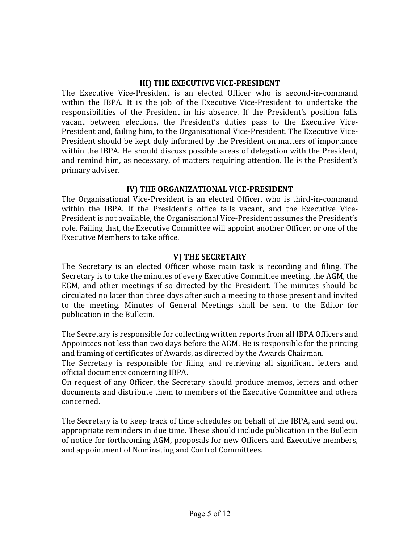### **III) THE EXECUTIVE VICE-PRESIDENT**

The Executive Vice-President is an elected Officer who is second-in-command within the IBPA. It is the job of the Executive Vice-President to undertake the responsibilities of the President in his absence. If the President's position falls vacant between elections, the President's duties pass to the Executive Vice-President and, failing him, to the Organisational Vice-President. The Executive Vice-President should be kept duly informed by the President on matters of importance within the IBPA. He should discuss possible areas of delegation with the President, and remind him, as necessary, of matters requiring attention. He is the President's primary!adviser.

### **IV) THE ORGANIZATIONAL VICE-PRESIDENT**

The Organisational Vice-President is an elected Officer, who is third-in-command within the IBPA. If the President's office falls vacant, and the Executive Vice-President is not available, the Organisational Vice-President assumes the President's role. Failing that, the Executive Committee will appoint another Officer, or one of the Executive Members to take office.

## **V) THE SECRETARY**

The Secretary is an elected Officer whose main task is recording and filing. The Secretary is to take the minutes of every Executive Committee meeting, the AGM, the EGM, and other meetings if so directed by the President. The minutes should be circulated no later than three days after such a meeting to those present and invited to the meeting. Minutes of General Meetings shall be sent to the Editor for publication in the Bulletin.

The Secretary is responsible for collecting written reports from all IBPA Officers and Appointees not less than two days before the AGM. He is responsible for the printing and framing of certificates of Awards, as directed by the Awards Chairman.

The Secretary is responsible for filing and retrieving all significant letters and official documents concerning IBPA.

On request of any Officer, the Secretary should produce memos, letters and other documents and distribute them to members of the Executive Committee and others concerned.

The Secretary is to keep track of time schedules on behalf of the IBPA, and send out appropriate reminders in due time. These should include publication in the Bulletin of notice for forthcoming AGM, proposals for new Officers and Executive members, and appointment of Nominating and Control Committees.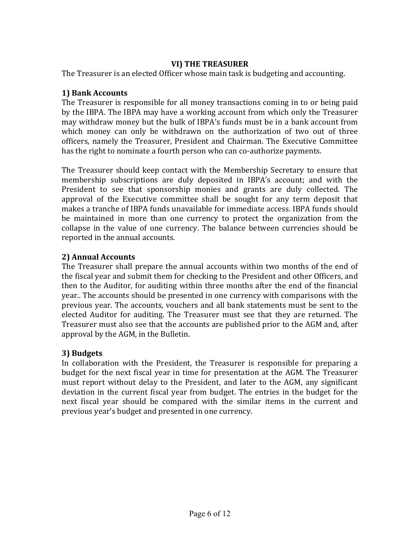### **VI)%THE%TREASURER**

The Treasurer is an elected Officer whose main task is budgeting and accounting.

### **1) Bank Accounts**

The Treasurer is responsible for all money transactions coming in to or being paid by the IBPA. The IBPA may have a working account from which only the Treasurer may withdraw money but the bulk of IBPA's funds must be in a bank account from which money can only be withdrawn on the authorization of two out of three officers, namely the Treasurer, President and Chairman. The Executive Committee has the right to nominate a fourth person who can co-authorize payments.

The Treasurer should keep contact with the Membership Secretary to ensure that membership subscriptions are duly deposited in IBPA's account; and with the President to see that sponsorship monies and grants are duly collected. The approval of the Executive committee shall be sought for any term deposit that makes a tranche of IBPA funds unavailable for immediate access. IBPA funds should be maintained in more than one currency to protect the organization from the collapse in the value of one currency. The balance between currencies should be reported in the annual accounts.

## **2) Annual Accounts**

The Treasurer shall prepare the annual accounts within two months of the end of the fiscal year and submit them for checking to the President and other Officers, and then to the Auditor, for auditing within three months after the end of the financial year.. The accounts should be presented in one currency with comparisons with the previous year. The accounts, vouchers and all bank statements must be sent to the elected Auditor for auditing. The Treasurer must see that they are returned. The Treasurer must also see that the accounts are published prior to the AGM and, after approval by the AGM, in the Bulletin.

## **3)%Budgets**

In collaboration with the President, the Treasurer is responsible for preparing a budget for the next fiscal year in time for presentation at the AGM. The Treasurer must report without delay to the President, and later to the AGM, any significant deviation in the current fiscal year from budget. The entries in the budget for the next fiscal year should be compared with the similar items in the current and previous year's budget and presented in one currency.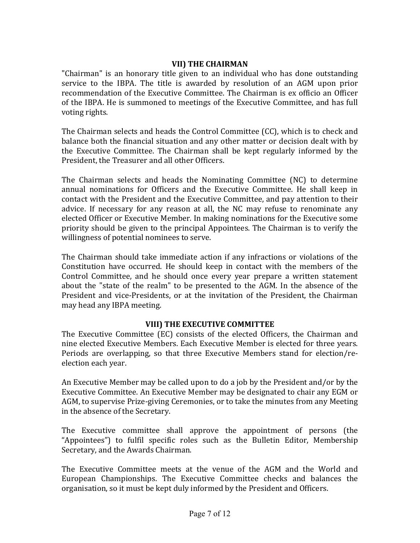### **VII) THE CHAIRMAN**

"Chairman" is an honorary title given to an individual who has done outstanding service to the IBPA. The title is awarded by resolution of an AGM upon prior recommendation of the Executive Committee. The Chairman is ex officio an Officer of the IBPA. He is summoned to meetings of the Executive Committee, and has full voting rights.

The Chairman selects and heads the Control Committee (CC), which is to check and balance both the financial situation and any other matter or decision dealt with by the Executive Committee. The Chairman shall be kept regularly informed by the President, the Treasurer and all other Officers.

The Chairman selects and heads the Nominating Committee (NC) to determine annual nominations for Officers and the Executive Committee. He shall keep in contact with the President and the Executive Committee, and pay attention to their advice. If necessary for any reason at all, the NC may refuse to renominate any elected Officer or Executive Member. In making nominations for the Executive some priority should be given to the principal Appointees. The Chairman is to verify the willingness of potential nominees to serve.

The Chairman should take immediate action if any infractions or violations of the Constitution have occurred. He should keep in contact with the members of the Control Committee, and he should once every year prepare a written statement about the "state of the realm" to be presented to the AGM. In the absence of the President and vice-Presidents, or at the invitation of the President, the Chairman may head any IBPA meeting.

### **VIII) THE EXECUTIVE COMMITTEE**

The Executive Committee (EC) consists of the elected Officers, the Chairman and nine elected Executive Members. Each Executive Member is elected for three years. Periods are overlapping, so that three Executive Members stand for election/reelection each year.

An Executive Member may be called upon to do a job by the President and/or by the Executive Committee. An Executive Member may be designated to chair any EGM or AGM, to supervise Prize-giving Ceremonies, or to take the minutes from any Meeting in the absence of the Secretary.

The Executive committee shall approve the appointment of persons (the "Appointees") to fulfil specific roles such as the Bulletin Editor, Membership Secretary, and the Awards Chairman.

The Executive Committee meets at the venue of the AGM and the World and European Championships. The Executive Committee checks and balances the organisation, so it must be kept duly informed by the President and Officers.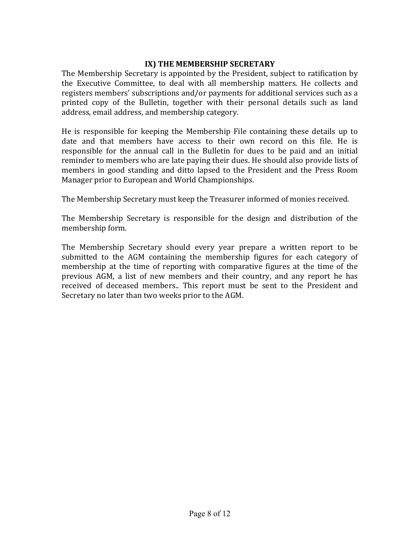### **IX) THE MEMBERSHIP SECRETARY**

The Membership Secretary is appointed by the President, subject to ratification by the Executive Committee, to deal with all membership matters. He collects and registers members' subscriptions and/or payments for additional services such as a printed copy of the Bulletin, together with their personal details such as land address, email address, and membership category.

He is responsible for keeping the Membership File containing these details up to date and that members have access to their own record on this file. He is responsible for the annual call in the Bulletin for dues to be paid and an initial reminder to members who are late paying their dues. He should also provide lists of members in good standing and ditto lapsed to the President and the Press Room Manager prior to European and World Championships.

The Membership Secretary must keep the Treasurer informed of monies received.

The Membership Secretary is responsible for the design and distribution of the membership form.

The Membership Secretary should every year prepare a written report to be submitted to the AGM containing the membership figures for each category of membership at the time of reporting with comparative figures at the time of the previous AGM, a list of new members and their country, and any report he has received of deceased members.. This report must be sent to the President and Secretary no later than two weeks prior to the AGM.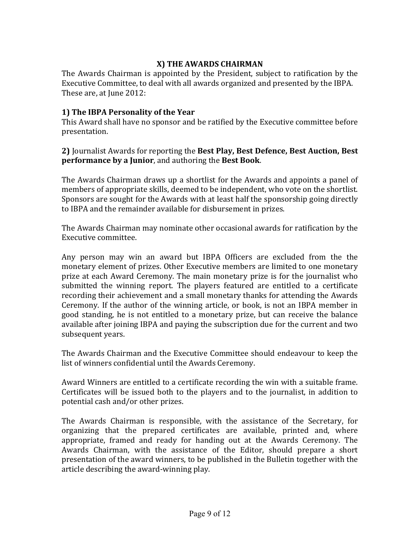### **X) THE AWARDS CHAIRMAN**

The Awards Chairman is appointed by the President, subject to ratification by the Executive Committee, to deal with all awards organized and presented by the IBPA. These are, at June 2012:

#### **1) The IBPA Personality of the Year**

This Award shall have no sponsor and be ratified by the Executive committee before presentation.

2) Journalist Awards for reporting the Best Play, Best Defence, Best Auction, Best **performance by a Junior**, and authoring the **Best Book**.

The Awards Chairman draws up a shortlist for the Awards and appoints a panel of members of appropriate skills, deemed to be independent, who vote on the shortlist. Sponsors are sought for the Awards with at least half the sponsorship going directly to IBPA and the remainder available for disbursement in prizes.

The Awards Chairman may nominate other occasional awards for ratification by the Executive committee.

Any person may win an award but IBPA Officers are excluded from the the monetary element of prizes. Other Executive members are limited to one monetary prize at each Award Ceremony. The main monetary prize is for the journalist who submitted the winning report. The players featured are entitled to a certificate recording their achievement and a small monetary thanks for attending the Awards Ceremony. If the author of the winning article, or book, is not an IBPA member in good standing, he is not entitled to a monetary prize, but can receive the balance available after joining IBPA and paying the subscription due for the current and two subsequent years.

The Awards Chairman and the Executive Committee should endeavour to keep the list of winners confidential until the Awards Ceremony.

Award Winners are entitled to a certificate recording the win with a suitable frame. Certificates will be issued both to the players and to the journalist, in addition to potential cash and/or other prizes.

The Awards Chairman is responsible, with the assistance of the Secretary, for organizing that the prepared certificates are available, printed and, where appropriate, framed and ready for handing out at the Awards Ceremony. The Awards Chairman, with the assistance of the Editor, should prepare a short presentation of the award winners, to be published in the Bulletin together with the article describing the award-winning play.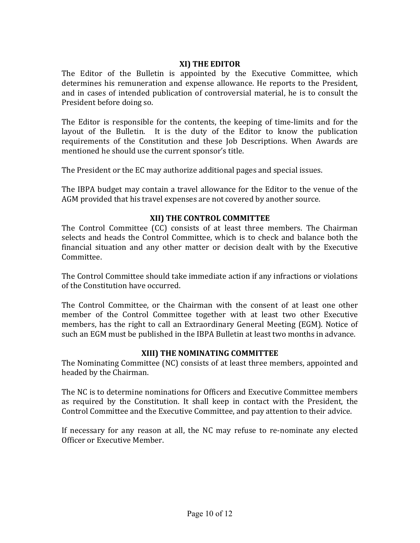### **XI) THE EDITOR**

The Editor of the Bulletin is appointed by the Executive Committee, which determines his remuneration and expense allowance. He reports to the President, and in cases of intended publication of controversial material, he is to consult the President before doing so.

The Editor is responsible for the contents, the keeping of time-limits and for the layout of the Bulletin. It is the duty of the Editor to know the publication requirements of the Constitution and these Job Descriptions. When Awards are mentioned he should use the current sponsor's title.

The President or the EC may authorize additional pages and special issues.

The IBPA budget may contain a travel allowance for the Editor to the venue of the AGM provided that his travel expenses are not covered by another source.

#### **XII)%THE%CONTROL%COMMITTEE**

The Control Committee (CC) consists of at least three members. The Chairman selects and heads the Control Committee, which is to check and balance both the financial situation and any other matter or decision dealt with by the Executive Committee.

The Control Committee should take immediate action if any infractions or violations of the Constitution have occurred.

The Control Committee, or the Chairman with the consent of at least one other member of the Control Committee together with at least two other Executive members, has the right to call an Extraordinary General Meeting (EGM). Notice of such an EGM must be published in the IBPA Bulletin at least two months in advance.

#### **XIII)%THE%NOMINATING%COMMITTEE**

The Nominating Committee (NC) consists of at least three members, appointed and headed by the Chairman.

The NC is to determine nominations for Officers and Executive Committee members as required by the Constitution. It shall keep in contact with the President, the Control Committee and the Executive Committee, and pay attention to their advice.

If necessary for any reason at all, the NC may refuse to re-nominate any elected Officer or Executive Member.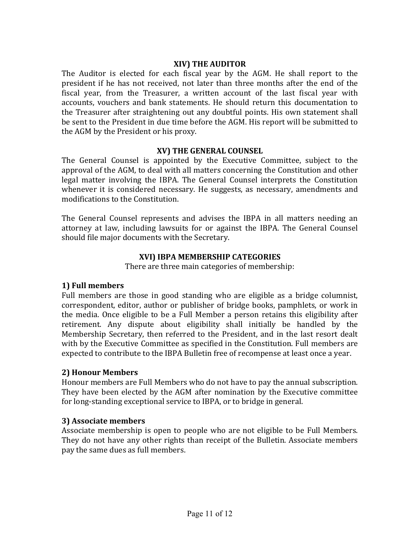#### **XIV) THE AUDITOR**

The Auditor is elected for each fiscal vear by the AGM. He shall report to the president if he has not received, not later than three months after the end of the fiscal year, from the Treasurer, a written account of the last fiscal year with accounts, vouchers and bank statements. He should return this documentation to the Treasurer after straightening out any doubtful points. His own statement shall be sent to the President in due time before the AGM. His report will be submitted to the AGM by the President or his proxy.

#### **XV) THE GENERAL COUNSEL**

The General Counsel is appointed by the Executive Committee, subject to the approval of the AGM, to deal with all matters concerning the Constitution and other legal matter involving the IBPA. The General Counsel interprets the Constitution whenever it is considered necessary. He suggests, as necessary, amendments and modifications to the Constitution.

The General Counsel represents and advises the IBPA in all matters needing an attorney at law, including lawsuits for or against the IBPA. The General Counsel should file major documents with the Secretary.

### **XVI)%IBPA%MEMBERSHIP%CATEGORIES**

There are three main categories of membership:

### **1)%Full%members**

Full members are those in good standing who are eligible as a bridge columnist, correspondent, editor, author or publisher of bridge books, pamphlets, or work in the media. Once eligible to be a Full Member a person retains this eligibility after retirement. Any dispute about eligibility shall initially be handled by the Membership Secretary, then referred to the President, and in the last resort dealt with by the Executive Committee as specified in the Constitution. Full members are expected to contribute to the IBPA Bulletin free of recompense at least once a year.

### **2)%Honour%Members**

Honour members are Full Members who do not have to pay the annual subscription. They have been elected by the AGM after nomination by the Executive committee for long-standing exceptional service to IBPA, or to bridge in general.

### **3) Associate members**

Associate membership is open to people who are not eligible to be Full Members. They do not have any other rights than receipt of the Bulletin. Associate members pay the same dues as full members.